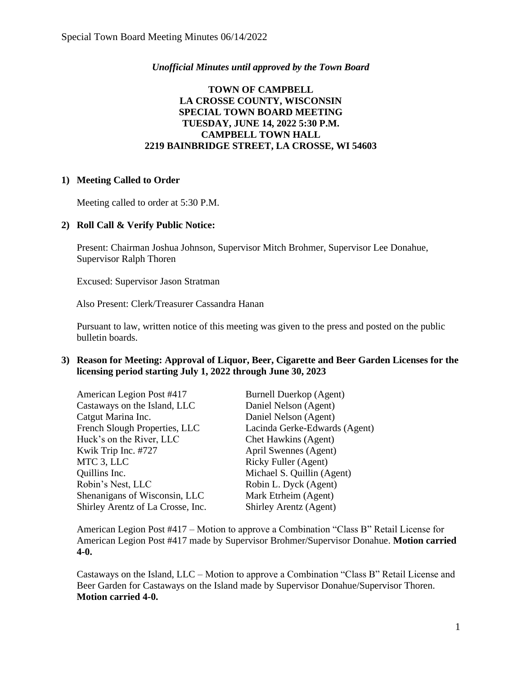## *Unofficial Minutes until approved by the Town Board*

# **TOWN OF CAMPBELL LA CROSSE COUNTY, WISCONSIN SPECIAL TOWN BOARD MEETING TUESDAY, JUNE 14, 2022 5:30 P.M. CAMPBELL TOWN HALL 2219 BAINBRIDGE STREET, LA CROSSE, WI 54603**

#### **1) Meeting Called to Order**

Meeting called to order at 5:30 P.M.

### **2) Roll Call & Verify Public Notice:**

Present: Chairman Joshua Johnson, Supervisor Mitch Brohmer, Supervisor Lee Donahue, Supervisor Ralph Thoren

Excused: Supervisor Jason Stratman

Also Present: Clerk/Treasurer Cassandra Hanan

Pursuant to law, written notice of this meeting was given to the press and posted on the public bulletin boards.

#### **3) Reason for Meeting: Approval of Liquor, Beer, Cigarette and Beer Garden Licenses for the licensing period starting July 1, 2022 through June 30, 2023**

| <b>Burnell Duerkop (Agent)</b> |
|--------------------------------|
| Daniel Nelson (Agent)          |
| Daniel Nelson (Agent)          |
| Lacinda Gerke-Edwards (Agent)  |
| Chet Hawkins (Agent)           |
| April Swennes (Agent)          |
| Ricky Fuller (Agent)           |
| Michael S. Quillin (Agent)     |
| Robin L. Dyck (Agent)          |
| Mark Etrheim (Agent)           |
| Shirley Arentz (Agent)         |
|                                |

American Legion Post #417 – Motion to approve a Combination "Class B" Retail License for American Legion Post #417 made by Supervisor Brohmer/Supervisor Donahue. **Motion carried 4-0.**

Castaways on the Island, LLC – Motion to approve a Combination "Class B" Retail License and Beer Garden for Castaways on the Island made by Supervisor Donahue/Supervisor Thoren. **Motion carried 4-0.**